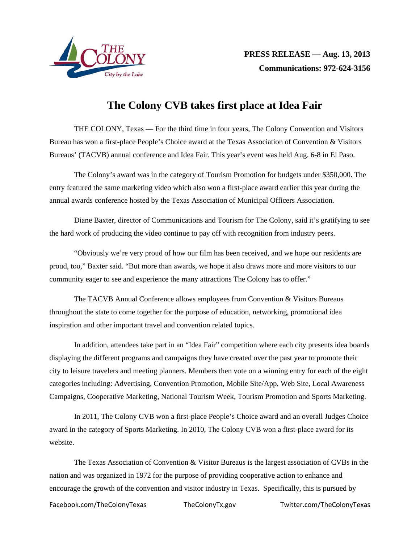

## **The Colony CVB takes first place at Idea Fair**

THE COLONY, Texas — For the third time in four years, The Colony Convention and Visitors Bureau has won a first-place People's Choice award at the Texas Association of Convention & Visitors Bureaus' (TACVB) annual conference and Idea Fair. This year's event was held Aug. 6-8 in El Paso.

The Colony's award was in the category of Tourism Promotion for budgets under \$350,000. The entry featured the same marketing video which also won a first-place award earlier this year during the annual awards conference hosted by the Texas Association of Municipal Officers Association.

Diane Baxter, director of Communications and Tourism for The Colony, said it's gratifying to see the hard work of producing the video continue to pay off with recognition from industry peers.

"Obviously we're very proud of how our film has been received, and we hope our residents are proud, too," Baxter said. "But more than awards, we hope it also draws more and more visitors to our community eager to see and experience the many attractions The Colony has to offer."

The TACVB Annual Conference allows employees from Convention & Visitors Bureaus throughout the state to come together for the purpose of education, networking, promotional idea inspiration and other important travel and convention related topics.

In addition, attendees take part in an "Idea Fair" competition where each city presents idea boards displaying the different programs and campaigns they have created over the past year to promote their city to leisure travelers and meeting planners. Members then vote on a winning entry for each of the eight categories including: Advertising, Convention Promotion, Mobile Site/App, Web Site, Local Awareness Campaigns, Cooperative Marketing, National Tourism Week, Tourism Promotion and Sports Marketing.

In 2011, The Colony CVB won a first-place People's Choice award and an overall Judges Choice award in the category of Sports Marketing. In 2010, The Colony CVB won a first-place award for its website.

The Texas Association of Convention & Visitor Bureaus is the largest association of CVBs in the nation and was organized in 1972 for the purpose of providing cooperative action to enhance and encourage the growth of the convention and visitor industry in Texas. Specifically, this is pursued by

Facebook.com/TheColonyTexas TheColonyTx.gov Twitter.com/TheColonyTexas